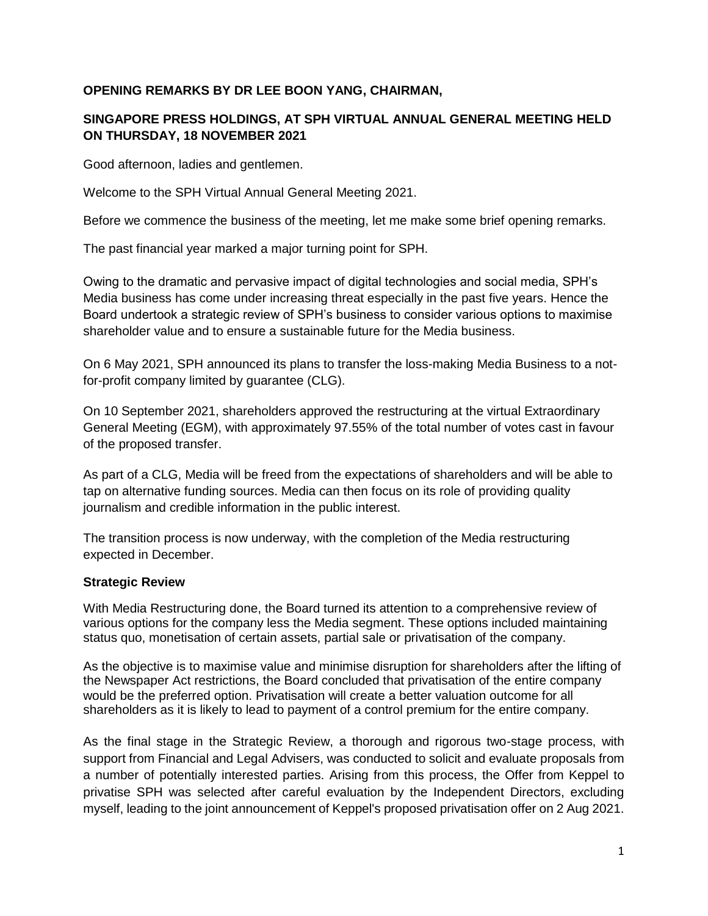## **OPENING REMARKS BY DR LEE BOON YANG, CHAIRMAN,**

## **SINGAPORE PRESS HOLDINGS, AT SPH VIRTUAL ANNUAL GENERAL MEETING HELD ON THURSDAY, 18 NOVEMBER 2021**

Good afternoon, ladies and gentlemen.

Welcome to the SPH Virtual Annual General Meeting 2021.

Before we commence the business of the meeting, let me make some brief opening remarks.

The past financial year marked a major turning point for SPH.

Owing to the dramatic and pervasive impact of digital technologies and social media, SPH's Media business has come under increasing threat especially in the past five years. Hence the Board undertook a strategic review of SPH's business to consider various options to maximise shareholder value and to ensure a sustainable future for the Media business.

On 6 May 2021, SPH announced its plans to transfer the loss-making Media Business to a notfor-profit company limited by guarantee (CLG).

On 10 September 2021, shareholders approved the restructuring at the virtual Extraordinary General Meeting (EGM), with approximately 97.55% of the total number of votes cast in favour of the proposed transfer.

As part of a CLG, Media will be freed from the expectations of shareholders and will be able to tap on alternative funding sources. Media can then focus on its role of providing quality journalism and credible information in the public interest.

The transition process is now underway, with the completion of the Media restructuring expected in December.

#### **Strategic Review**

With Media Restructuring done, the Board turned its attention to a comprehensive review of various options for the company less the Media segment. These options included maintaining status quo, monetisation of certain assets, partial sale or privatisation of the company.

As the objective is to maximise value and minimise disruption for shareholders after the lifting of the Newspaper Act restrictions, the Board concluded that privatisation of the entire company would be the preferred option. Privatisation will create a better valuation outcome for all shareholders as it is likely to lead to payment of a control premium for the entire company.

As the final stage in the Strategic Review, a thorough and rigorous two-stage process, with support from Financial and Legal Advisers, was conducted to solicit and evaluate proposals from a number of potentially interested parties. Arising from this process, the Offer from Keppel to privatise SPH was selected after careful evaluation by the Independent Directors, excluding myself, leading to the joint announcement of Keppel's proposed privatisation offer on 2 Aug 2021.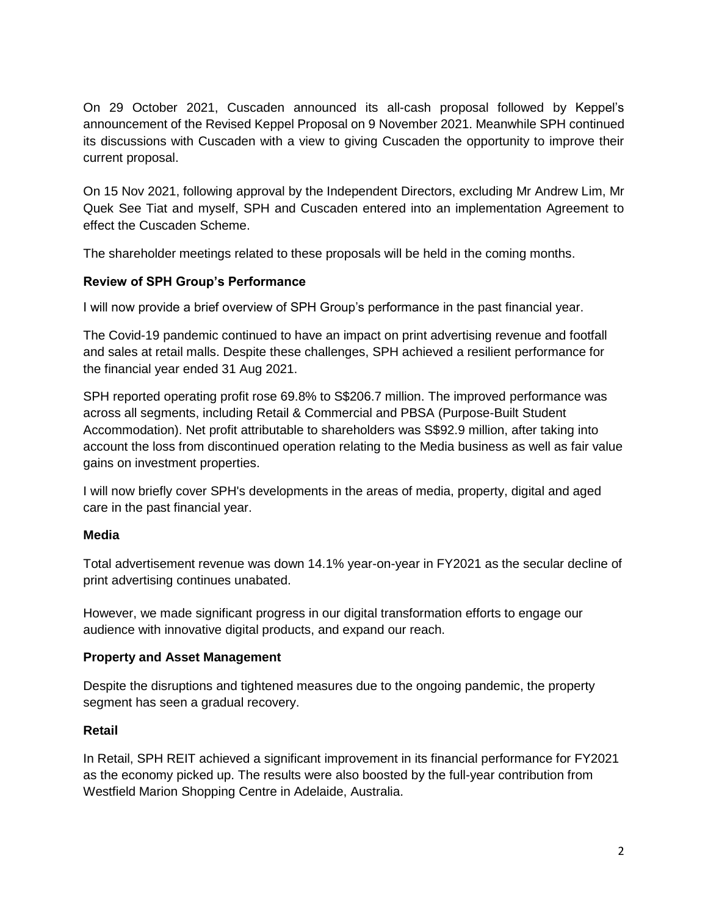On 29 October 2021, Cuscaden announced its all-cash proposal followed by Keppel's announcement of the Revised Keppel Proposal on 9 November 2021. Meanwhile SPH continued its discussions with Cuscaden with a view to giving Cuscaden the opportunity to improve their current proposal.

On 15 Nov 2021, following approval by the Independent Directors, excluding Mr Andrew Lim, Mr Quek See Tiat and myself, SPH and Cuscaden entered into an implementation Agreement to effect the Cuscaden Scheme.

The shareholder meetings related to these proposals will be held in the coming months.

### **Review of SPH Group's Performance**

I will now provide a brief overview of SPH Group's performance in the past financial year.

The Covid-19 pandemic continued to have an impact on print advertising revenue and footfall and sales at retail malls. Despite these challenges, SPH achieved a resilient performance for the financial year ended 31 Aug 2021.

SPH reported operating profit rose 69.8% to S\$206.7 million. The improved performance was across all segments, including Retail & Commercial and PBSA (Purpose-Built Student Accommodation). Net profit attributable to shareholders was S\$92.9 million, after taking into account the loss from discontinued operation relating to the Media business as well as fair value gains on investment properties.

I will now briefly cover SPH's developments in the areas of media, property, digital and aged care in the past financial year.

## **Media**

Total advertisement revenue was down 14.1% year-on-year in FY2021 as the secular decline of print advertising continues unabated.

However, we made significant progress in our digital transformation efforts to engage our audience with innovative digital products, and expand our reach.

#### **Property and Asset Management**

Despite the disruptions and tightened measures due to the ongoing pandemic, the property segment has seen a gradual recovery.

#### **Retail**

In Retail, SPH REIT achieved a significant improvement in its financial performance for FY2021 as the economy picked up. The results were also boosted by the full-year contribution from Westfield Marion Shopping Centre in Adelaide, Australia.